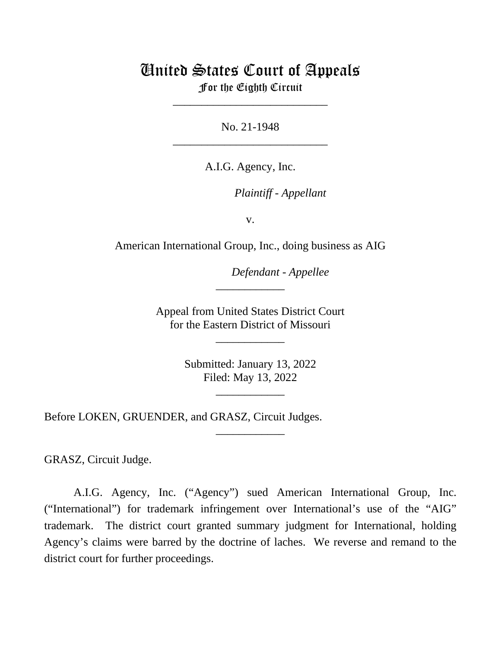# United States Court of Appeals

For the Eighth Circuit \_\_\_\_\_\_\_\_\_\_\_\_\_\_\_\_\_\_\_\_\_\_\_\_\_\_\_

No. 21-1948 \_\_\_\_\_\_\_\_\_\_\_\_\_\_\_\_\_\_\_\_\_\_\_\_\_\_\_

A.I.G. Agency, Inc.

*Plaintiff - Appellant*

v.

American International Group, Inc., doing business as AIG

*Defendant - Appellee*

Appeal from United States District Court for the Eastern District of Missouri

\_\_\_\_\_\_\_\_\_\_\_\_

\_\_\_\_\_\_\_\_\_\_\_\_

Submitted: January 13, 2022 Filed: May 13, 2022

\_\_\_\_\_\_\_\_\_\_\_\_

\_\_\_\_\_\_\_\_\_\_\_\_

Before LOKEN, GRUENDER, and GRASZ, Circuit Judges.

GRASZ, Circuit Judge.

A.I.G. Agency, Inc. ("Agency") sued American International Group, Inc. ("International") for trademark infringement over International's use of the "AIG" trademark. The district court granted summary judgment for International, holding Agency's claims were barred by the doctrine of laches. We reverse and remand to the district court for further proceedings.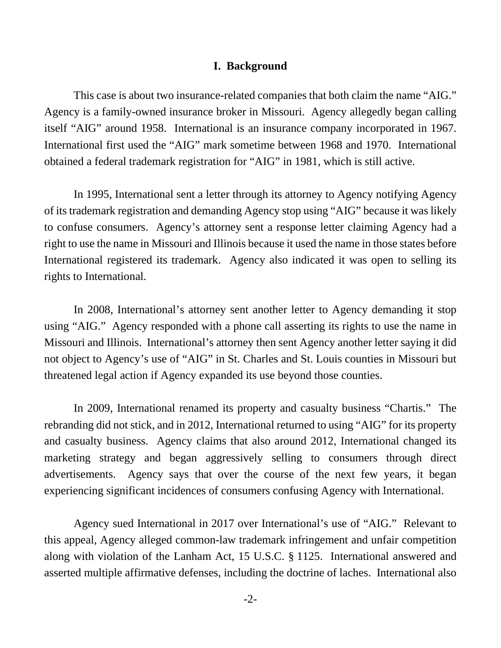# **I. Background**

This case is about two insurance-related companies that both claim the name "AIG." Agency is a family-owned insurance broker in Missouri. Agency allegedly began calling itself "AIG" around 1958. International is an insurance company incorporated in 1967. International first used the "AIG" mark sometime between 1968 and 1970. International obtained a federal trademark registration for "AIG" in 1981, which is still active.

In 1995, International sent a letter through its attorney to Agency notifying Agency of its trademark registration and demanding Agency stop using "AIG" because it was likely to confuse consumers. Agency's attorney sent a response letter claiming Agency had a right to use the name in Missouri and Illinois because it used the name in those states before International registered its trademark. Agency also indicated it was open to selling its rights to International.

In 2008, International's attorney sent another letter to Agency demanding it stop using "AIG." Agency responded with a phone call asserting its rights to use the name in Missouri and Illinois. International's attorney then sent Agency another letter saying it did not object to Agency's use of "AIG" in St. Charles and St. Louis counties in Missouri but threatened legal action if Agency expanded its use beyond those counties.

In 2009, International renamed its property and casualty business "Chartis." The rebranding did not stick, and in 2012, International returned to using "AIG" for its property and casualty business. Agency claims that also around 2012, International changed its marketing strategy and began aggressively selling to consumers through direct advertisements. Agency says that over the course of the next few years, it began experiencing significant incidences of consumers confusing Agency with International.

Agency sued International in 2017 over International's use of "AIG." Relevant to this appeal, Agency alleged common-law trademark infringement and unfair competition along with violation of the Lanham Act, 15 U.S.C. § 1125. International answered and asserted multiple affirmative defenses, including the doctrine of laches. International also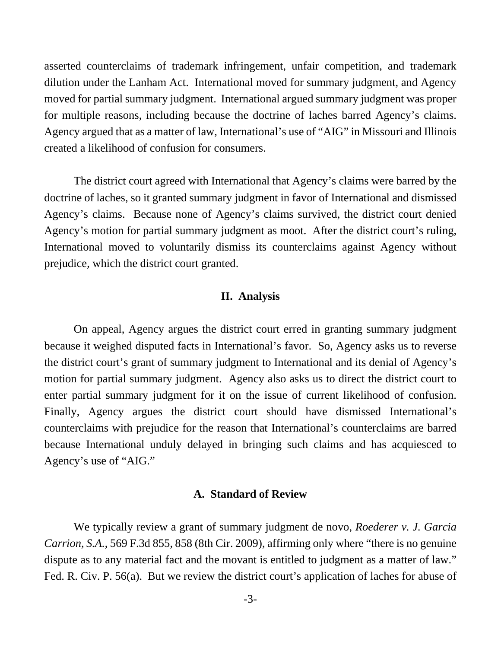asserted counterclaims of trademark infringement, unfair competition, and trademark dilution under the Lanham Act. International moved for summary judgment, and Agency moved for partial summary judgment. International argued summary judgment was proper for multiple reasons, including because the doctrine of laches barred Agency's claims. Agency argued that as a matter of law, International's use of "AIG" in Missouri and Illinois created a likelihood of confusion for consumers.

The district court agreed with International that Agency's claims were barred by the doctrine of laches, so it granted summary judgment in favor of International and dismissed Agency's claims. Because none of Agency's claims survived, the district court denied Agency's motion for partial summary judgment as moot. After the district court's ruling, International moved to voluntarily dismiss its counterclaims against Agency without prejudice, which the district court granted.

## **II. Analysis**

On appeal, Agency argues the district court erred in granting summary judgment because it weighed disputed facts in International's favor. So, Agency asks us to reverse the district court's grant of summary judgment to International and its denial of Agency's motion for partial summary judgment. Agency also asks us to direct the district court to enter partial summary judgment for it on the issue of current likelihood of confusion. Finally, Agency argues the district court should have dismissed International's counterclaims with prejudice for the reason that International's counterclaims are barred because International unduly delayed in bringing such claims and has acquiesced to Agency's use of "AIG."

### **A. Standard of Review**

We typically review a grant of summary judgment de novo, *Roederer v. J. Garcia Carrion, S.A.*, 569 F.3d 855, 858 (8th Cir. 2009), affirming only where "there is no genuine dispute as to any material fact and the movant is entitled to judgment as a matter of law." Fed. R. Civ. P. 56(a). But we review the district court's application of laches for abuse of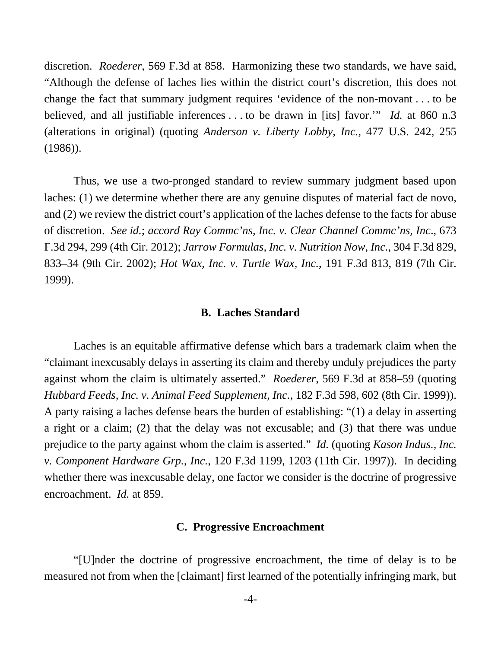discretion. *Roederer*, 569 F.3d at 858. Harmonizing these two standards, we have said, "Although the defense of laches lies within the district court's discretion, this does not change the fact that summary judgment requires 'evidence of the non-movant . . . to be believed, and all justifiable inferences . . . to be drawn in [its] favor.'" *Id.* at 860 n.3 (alterations in original) (quoting *Anderson v. Liberty Lobby, Inc.*, 477 U.S. 242, 255 (1986)).

Thus, we use a two-pronged standard to review summary judgment based upon laches: (1) we determine whether there are any genuine disputes of material fact de novo, and (2) we review the district court's application of the laches defense to the facts for abuse of discretion. *See id.*; *accord Ray Commc'ns, Inc. v. Clear Channel Commc'ns, Inc*., 673 F.3d 294, 299 (4th Cir. 2012); *Jarrow Formulas, Inc. v. Nutrition Now, Inc.*, 304 F.3d 829, 833–34 (9th Cir. 2002); *Hot Wax, Inc. v. Turtle Wax, Inc.*, 191 F.3d 813, 819 (7th Cir. 1999).

#### **B. Laches Standard**

Laches is an equitable affirmative defense which bars a trademark claim when the "claimant inexcusably delays in asserting its claim and thereby unduly prejudices the party against whom the claim is ultimately asserted." *Roederer*, 569 F.3d at 858–59 (quoting *Hubbard Feeds, Inc. v. Animal Feed Supplement, Inc.*, 182 F.3d 598, 602 (8th Cir. 1999)). A party raising a laches defense bears the burden of establishing: "(1) a delay in asserting a right or a claim; (2) that the delay was not excusable; and (3) that there was undue prejudice to the party against whom the claim is asserted." *Id.* (quoting *Kason Indus., Inc. v. Component Hardware Grp., Inc.*, 120 F.3d 1199, 1203 (11th Cir. 1997)). In deciding whether there was inexcusable delay, one factor we consider is the doctrine of progressive encroachment. *Id.* at 859.

### **C. Progressive Encroachment**

"[U]nder the doctrine of progressive encroachment, the time of delay is to be measured not from when the [claimant] first learned of the potentially infringing mark, but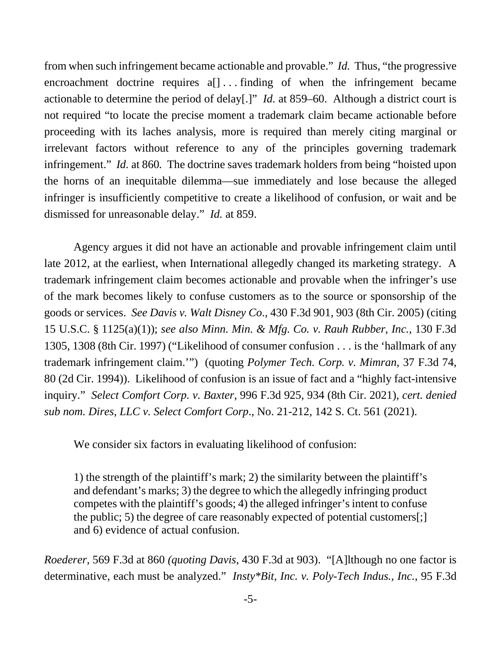from when such infringement became actionable and provable." *Id.* Thus, "the progressive encroachment doctrine requires a<sup>[]</sup> ... finding of when the infringement became actionable to determine the period of delay[.]" *Id.* at 859–60. Although a district court is not required "to locate the precise moment a trademark claim became actionable before proceeding with its laches analysis, more is required than merely citing marginal or irrelevant factors without reference to any of the principles governing trademark infringement." *Id.* at 860*.* The doctrine saves trademark holders from being "hoisted upon the horns of an inequitable dilemma—sue immediately and lose because the alleged infringer is insufficiently competitive to create a likelihood of confusion, or wait and be dismissed for unreasonable delay." *Id.* at 859.

Agency argues it did not have an actionable and provable infringement claim until late 2012, at the earliest, when International allegedly changed its marketing strategy. A trademark infringement claim becomes actionable and provable when the infringer's use of the mark becomes likely to confuse customers as to the source or sponsorship of the goods or services. *See Davis v. Walt Disney Co*., 430 F.3d 901, 903 (8th Cir. 2005) (citing 15 U.S.C. § 1125(a)(1)); *see also Minn. Min. & Mfg. Co. v. Rauh Rubber, Inc.*, 130 F.3d 1305, 1308 (8th Cir. 1997) ("Likelihood of consumer confusion . . . is the 'hallmark of any trademark infringement claim.'") (quoting *Polymer Tech. Corp. v. Mimran*, 37 F.3d 74, 80 (2d Cir. 1994)). Likelihood of confusion is an issue of fact and a "highly fact-intensive inquiry." *Select Comfort Corp. v. Baxter*, 996 F.3d 925, 934 (8th Cir. 2021), *cert. denied sub nom. Dires, LLC v. Select Comfort Corp*., No. 21-212, 142 S. Ct. 561 (2021).

We consider six factors in evaluating likelihood of confusion:

1) the strength of the plaintiff's mark; 2) the similarity between the plaintiff's and defendant's marks; 3) the degree to which the allegedly infringing product competes with the plaintiff's goods; 4) the alleged infringer's intent to confuse the public; 5) the degree of care reasonably expected of potential customers[;] and 6) evidence of actual confusion.

*Roederer,* 569 F.3d at 860 *(quoting Davis*, 430 F.3d at 903). "[A]lthough no one factor is determinative, each must be analyzed." *Insty\*Bit, Inc. v. Poly-Tech Indus., Inc.*, 95 F.3d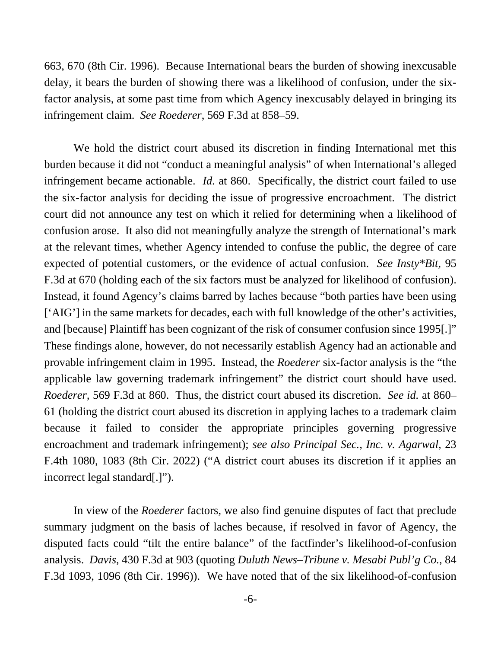663, 670 (8th Cir. 1996). Because International bears the burden of showing inexcusable delay, it bears the burden of showing there was a likelihood of confusion, under the sixfactor analysis, at some past time from which Agency inexcusably delayed in bringing its infringement claim. *See Roederer*, 569 F.3d at 858–59.

We hold the district court abused its discretion in finding International met this burden because it did not "conduct a meaningful analysis" of when International's alleged infringement became actionable. *Id.* at 860. Specifically, the district court failed to use the six-factor analysis for deciding the issue of progressive encroachment. The district court did not announce any test on which it relied for determining when a likelihood of confusion arose. It also did not meaningfully analyze the strength of International's mark at the relevant times, whether Agency intended to confuse the public, the degree of care expected of potential customers, or the evidence of actual confusion. *See Insty\*Bit*, 95 F.3d at 670 (holding each of the six factors must be analyzed for likelihood of confusion). Instead, it found Agency's claims barred by laches because "both parties have been using ['AIG'] in the same markets for decades, each with full knowledge of the other's activities, and [because] Plaintiff has been cognizant of the risk of consumer confusion since 1995[.]" These findings alone, however, do not necessarily establish Agency had an actionable and provable infringement claim in 1995. Instead, the *Roederer* six-factor analysis is the "the applicable law governing trademark infringement" the district court should have used. *Roederer,* 569 F.3d at 860. Thus, the district court abused its discretion. *See id.* at 860– 61 (holding the district court abused its discretion in applying laches to a trademark claim because it failed to consider the appropriate principles governing progressive encroachment and trademark infringement); *see also Principal Sec., Inc. v. Agarwal*, 23 F.4th 1080, 1083 (8th Cir. 2022) ("A district court abuses its discretion if it applies an incorrect legal standard[.]").

In view of the *Roederer* factors, we also find genuine disputes of fact that preclude summary judgment on the basis of laches because, if resolved in favor of Agency, the disputed facts could "tilt the entire balance" of the factfinder's likelihood-of-confusion analysis. *Davis*, 430 F.3d at 903 (quoting *Duluth News–Tribune v. Mesabi Publ'g Co.*, 84 F.3d 1093, 1096 (8th Cir. 1996)). We have noted that of the six likelihood-of-confusion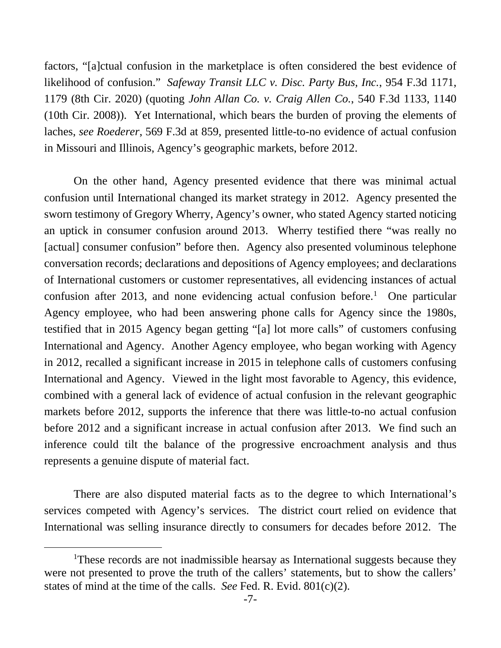factors, "[a]ctual confusion in the marketplace is often considered the best evidence of likelihood of confusion." *Safeway Transit LLC v. Disc. Party Bus, Inc.*, 954 F.3d 1171, 1179 (8th Cir. 2020) (quoting *John Allan Co. v. Craig Allen Co.*, 540 F.3d 1133, 1140 (10th Cir. 2008)). Yet International, which bears the burden of proving the elements of laches, *see Roederer*, 569 F.3d at 859, presented little-to-no evidence of actual confusion in Missouri and Illinois, Agency's geographic markets, before 2012.

On the other hand, Agency presented evidence that there was minimal actual confusion until International changed its market strategy in 2012. Agency presented the sworn testimony of Gregory Wherry, Agency's owner, who stated Agency started noticing an uptick in consumer confusion around 2013. Wherry testified there "was really no [actual] consumer confusion" before then. Agency also presented voluminous telephone conversation records; declarations and depositions of Agency employees; and declarations of International customers or customer representatives, all evidencing instances of actual confusion after 2013, and none evidencing actual confusion before. [1](#page-6-0) One particular Agency employee, who had been answering phone calls for Agency since the 1980s, testified that in 2015 Agency began getting "[a] lot more calls" of customers confusing International and Agency. Another Agency employee, who began working with Agency in 2012, recalled a significant increase in 2015 in telephone calls of customers confusing International and Agency. Viewed in the light most favorable to Agency, this evidence, combined with a general lack of evidence of actual confusion in the relevant geographic markets before 2012, supports the inference that there was little-to-no actual confusion before 2012 and a significant increase in actual confusion after 2013. We find such an inference could tilt the balance of the progressive encroachment analysis and thus represents a genuine dispute of material fact.

There are also disputed material facts as to the degree to which International's services competed with Agency's services. The district court relied on evidence that International was selling insurance directly to consumers for decades before 2012. The

<span id="page-6-0"></span><sup>&</sup>lt;sup>1</sup>These records are not inadmissible hearsay as International suggests because they were not presented to prove the truth of the callers' statements, but to show the callers' states of mind at the time of the calls. *See* Fed. R. Evid. 801(c)(2).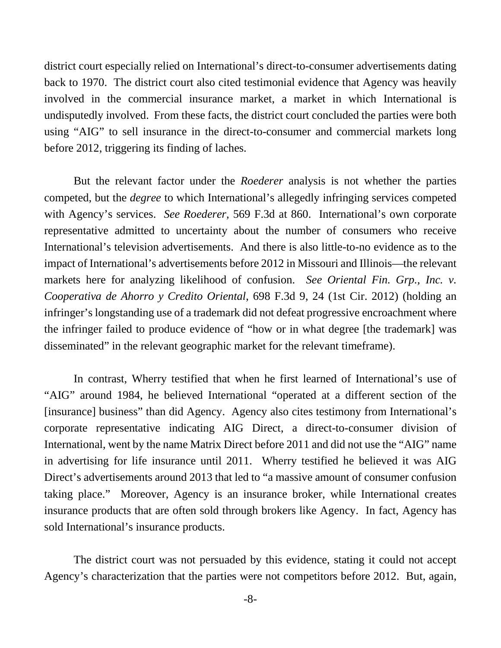district court especially relied on International's direct-to-consumer advertisements dating back to 1970. The district court also cited testimonial evidence that Agency was heavily involved in the commercial insurance market, a market in which International is undisputedly involved. From these facts, the district court concluded the parties were both using "AIG" to sell insurance in the direct-to-consumer and commercial markets long before 2012, triggering its finding of laches.

But the relevant factor under the *Roederer* analysis is not whether the parties competed, but the *degree* to which International's allegedly infringing services competed with Agency's services. *See Roederer,* 569 F.3d at 860. International's own corporate representative admitted to uncertainty about the number of consumers who receive International's television advertisements. And there is also little-to-no evidence as to the impact of International's advertisements before 2012 in Missouri and Illinois—the relevant markets here for analyzing likelihood of confusion. *See Oriental Fin. Grp., Inc. v. Cooperativa de Ahorro y Credito Oriental*, 698 F.3d 9, 24 (1st Cir. 2012) (holding an infringer's longstanding use of a trademark did not defeat progressive encroachment where the infringer failed to produce evidence of "how or in what degree [the trademark] was disseminated" in the relevant geographic market for the relevant timeframe).

In contrast, Wherry testified that when he first learned of International's use of "AIG" around 1984, he believed International "operated at a different section of the [insurance] business" than did Agency. Agency also cites testimony from International's corporate representative indicating AIG Direct, a direct-to-consumer division of International, went by the name Matrix Direct before 2011 and did not use the "AIG" name in advertising for life insurance until 2011. Wherry testified he believed it was AIG Direct's advertisements around 2013 that led to "a massive amount of consumer confusion taking place." Moreover, Agency is an insurance broker, while International creates insurance products that are often sold through brokers like Agency. In fact, Agency has sold International's insurance products.

The district court was not persuaded by this evidence, stating it could not accept Agency's characterization that the parties were not competitors before 2012. But, again,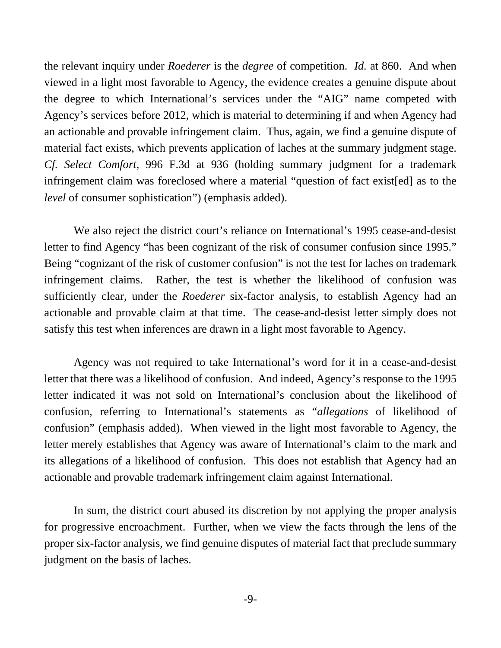the relevant inquiry under *Roederer* is the *degree* of competition. *Id.* at 860. And when viewed in a light most favorable to Agency, the evidence creates a genuine dispute about the degree to which International's services under the "AIG" name competed with Agency's services before 2012, which is material to determining if and when Agency had an actionable and provable infringement claim. Thus, again, we find a genuine dispute of material fact exists, which prevents application of laches at the summary judgment stage. *Cf. Select Comfort*, 996 F.3d at 936 (holding summary judgment for a trademark infringement claim was foreclosed where a material "question of fact exist[ed] as to the *level* of consumer sophistication") (emphasis added).

We also reject the district court's reliance on International's 1995 cease-and-desist letter to find Agency "has been cognizant of the risk of consumer confusion since 1995." Being "cognizant of the risk of customer confusion" is not the test for laches on trademark infringement claims. Rather, the test is whether the likelihood of confusion was sufficiently clear, under the *Roederer* six-factor analysis, to establish Agency had an actionable and provable claim at that time. The cease-and-desist letter simply does not satisfy this test when inferences are drawn in a light most favorable to Agency.

Agency was not required to take International's word for it in a cease-and-desist letter that there was a likelihood of confusion. And indeed, Agency's response to the 1995 letter indicated it was not sold on International's conclusion about the likelihood of confusion, referring to International's statements as "*allegations* of likelihood of confusion" (emphasis added). When viewed in the light most favorable to Agency, the letter merely establishes that Agency was aware of International's claim to the mark and its allegations of a likelihood of confusion. This does not establish that Agency had an actionable and provable trademark infringement claim against International.

In sum, the district court abused its discretion by not applying the proper analysis for progressive encroachment. Further, when we view the facts through the lens of the proper six-factor analysis, we find genuine disputes of material fact that preclude summary judgment on the basis of laches.